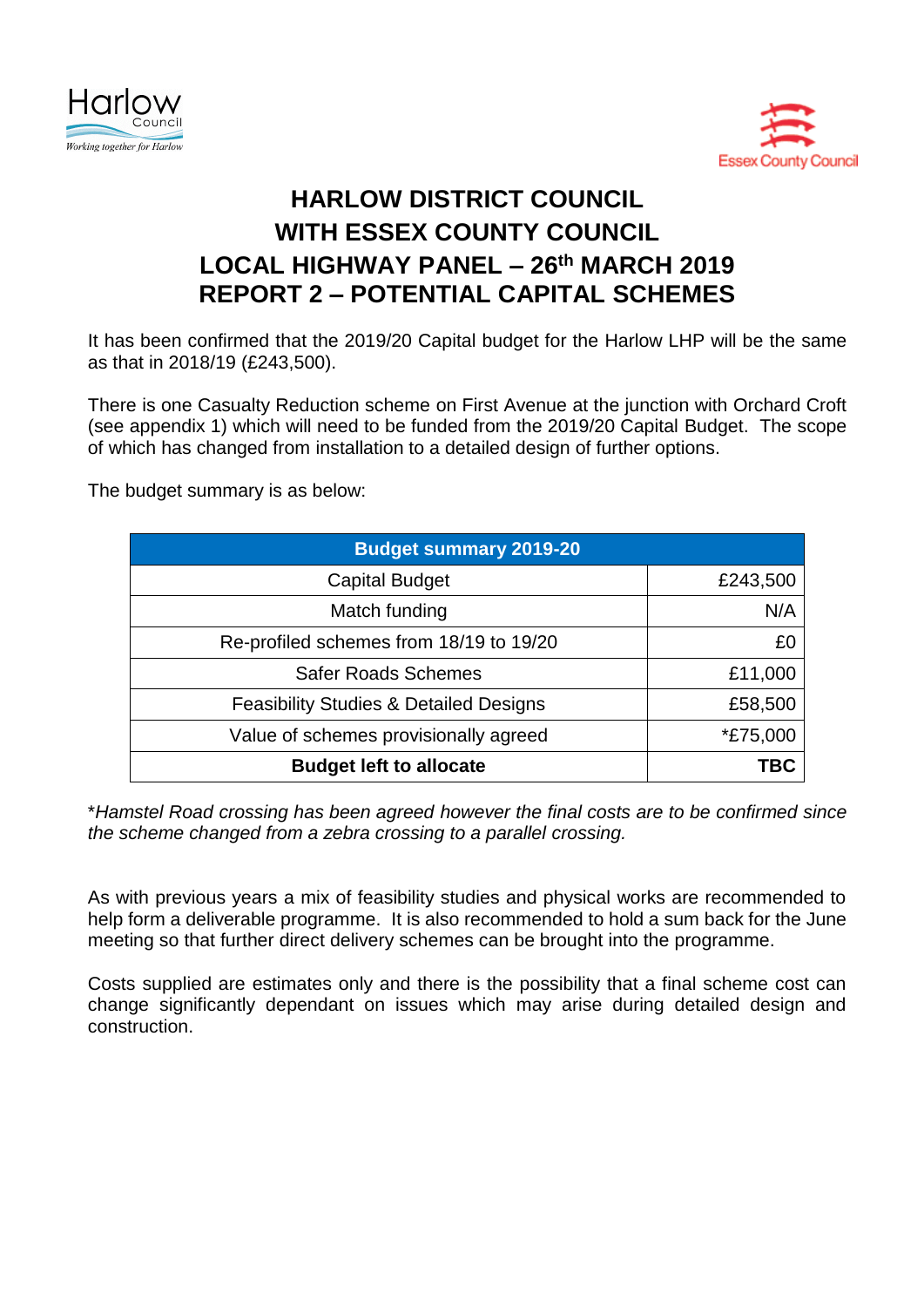



## **HARLOW DISTRICT COUNCIL WITH ESSEX COUNTY COUNCIL LOCAL HIGHWAY PANEL – 26th MARCH 2019 REPORT 2 – POTENTIAL CAPITAL SCHEMES**

It has been confirmed that the 2019/20 Capital budget for the Harlow LHP will be the same as that in 2018/19 (£243,500).

There is one Casualty Reduction scheme on First Avenue at the junction with Orchard Croft (see appendix 1) which will need to be funded from the 2019/20 Capital Budget. The scope of which has changed from installation to a detailed design of further options.

The budget summary is as below:

| <b>Budget summary 2019-20</b>                     |                 |
|---------------------------------------------------|-----------------|
| <b>Capital Budget</b>                             | £243,500        |
| Match funding                                     | N/A             |
| Re-profiled schemes from 18/19 to 19/20           | £0              |
| <b>Safer Roads Schemes</b>                        | £11,000         |
| <b>Feasibility Studies &amp; Detailed Designs</b> | £58,500         |
| Value of schemes provisionally agreed             | <i>*£75,000</i> |
| <b>Budget left to allocate</b>                    | TBC             |

\**Hamstel Road crossing has been agreed however the final costs are to be confirmed since the scheme changed from a zebra crossing to a parallel crossing.*

As with previous years a mix of feasibility studies and physical works are recommended to help form a deliverable programme. It is also recommended to hold a sum back for the June meeting so that further direct delivery schemes can be brought into the programme.

Costs supplied are estimates only and there is the possibility that a final scheme cost can change significantly dependant on issues which may arise during detailed design and construction.